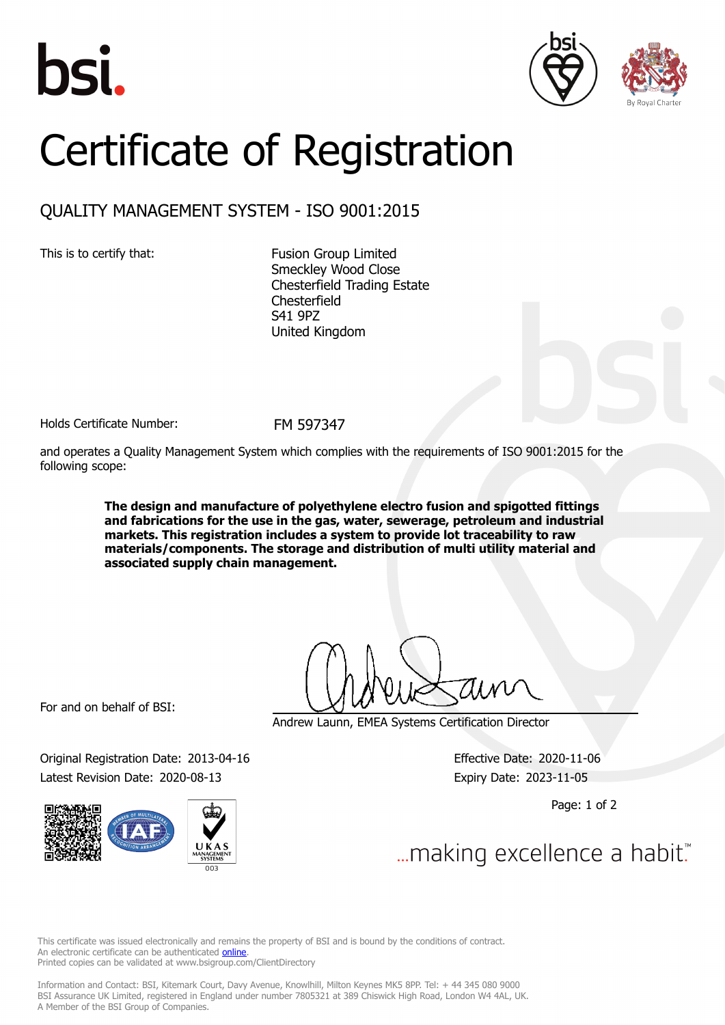





## Certificate of Registration

## QUALITY MANAGEMENT SYSTEM - ISO 9001:2015

This is to certify that: Fusion Group Limited Smeckley Wood Close Chesterfield Trading Estate Chesterfield S41 9PZ United Kingdom

Holds Certificate Number: FM 597347

and operates a Quality Management System which complies with the requirements of ISO 9001:2015 for the following scope:

> **The design and manufacture of polyethylene electro fusion and spigotted fittings and fabrications for the use in the gas, water, sewerage, petroleum and industrial markets. This registration includes a system to provide lot traceability to raw materials/components. The storage and distribution of multi utility material and associated supply chain management.**

For and on behalf of BSI:

Original Registration Date: 2013-04-16 Effective Date: 2020-11-06 Latest Revision Date: 2020-08-13 Expiry Date: 2023-11-05



Andrew Launn, EMEA Systems Certification Director

Page: 1 of 2

... making excellence a habit."

This certificate was issued electronically and remains the property of BSI and is bound by the conditions of contract. An electronic certificate can be authenticated **[online](https://pgplus.bsigroup.com/CertificateValidation/CertificateValidator.aspx?CertificateNumber=FM+597347&ReIssueDate=13%2f08%2f2020&Template=uk)**. Printed copies can be validated at www.bsigroup.com/ClientDirectory

Information and Contact: BSI, Kitemark Court, Davy Avenue, Knowlhill, Milton Keynes MK5 8PP. Tel: + 44 345 080 9000 BSI Assurance UK Limited, registered in England under number 7805321 at 389 Chiswick High Road, London W4 4AL, UK. A Member of the BSI Group of Companies.